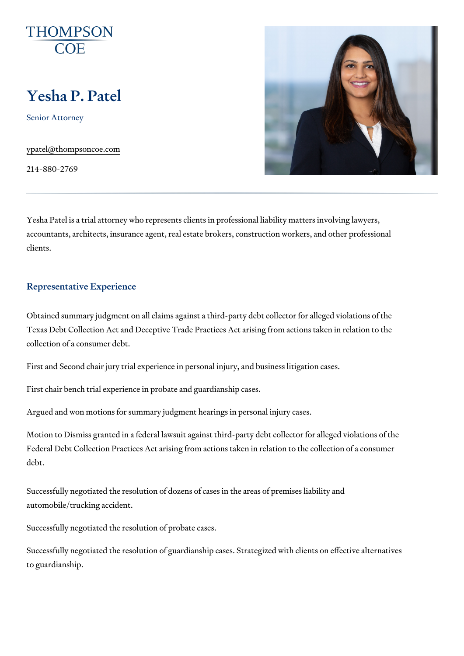# Yesha P. Patel

Senior Attorney

[ypatel@thompso](mailto:ypatel@thompsoncoe.com)ncoe.com

214-880-2769

Yesha Patel is a trial attorney who represents clients in professional liabi accountants, architects, insurance agent, real estate brokers, construction clients.

# Representative Experience

Obtained summary judgment on all claims against a third-party debt collec Texas Debt Collection Act and Deceptive Trade Practices Act arising from collection of a consumer debt.

First and Second chair jury trial experience in personal injury, and busine

First chair bench trial experience in probate and guardianship cases.

Argued and won motions for summary judgment hearings in personal injury

Motion to Dismiss granted in a federal lawsuit against third-party debt col Federal Debt Collection Practices Act arising from actions taken in relatio debt.

Successfully negotiated the resolution of dozens of cases in the areas of premises automobile/trucking accident.

Successfully negotiated the resolution of probate cases.

Successfully negotiated the resolution of guardianship cases. Strategized to guardianship.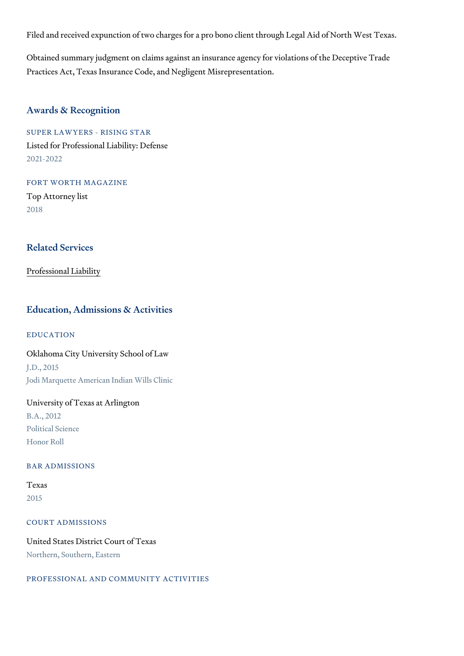Filed and received expunction of two charges for a pro bono client through

Obtained summary judgment on claims against an insurance agency for vio Practices Act, Texas Insurance Code, and Negligent Misrepresentation.

# Awards & Recognition

SUPER LAWYERS - RISING STAR Listed for Professional Liability: Defense 2021-2022

FORT WORTH MAGAZINE Top Attorney list 2018

#### Related Services

[Professional](https://www.thompsoncoe.com/people/yesha-p-patel/) Liability

## Education, Admissions & Activities

#### EDUCATION

Oklahoma City University School of Law J.D., 2015 Jodi Marquette American Indian Wills Clinic

#### University of Texas at Arlington

B.A., 2012 Political Science Honor Roll

#### BAR ADMISSIONS

# Texas 2015

COURT ADMISSIONS

United States District Court of Texas Northern, Southern, Eastern

PROFESSIONAL AND COMMUNITY ACTIVITIES